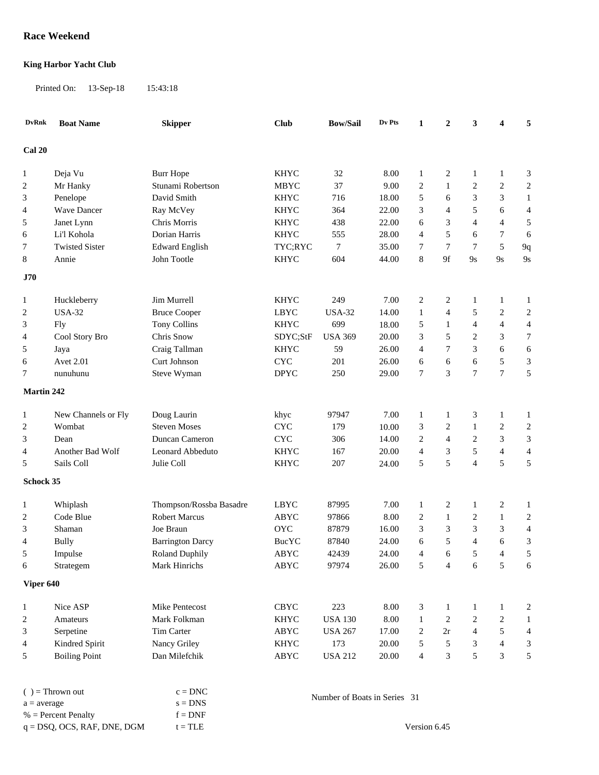## **Race Weekend**

## **King Harbor Yacht Club**

Printed On: 13-Sep-18 15:43:18

| <b>DvRnk</b>             | <b>Boat Name</b>      | <b>Skipper</b>                              | <b>Club</b>                    | <b>Bow/Sail</b>              | Dv Pts | $\mathbf{1}$   | $\mathbf{2}$     | 3              | 4                        | 5                       |
|--------------------------|-----------------------|---------------------------------------------|--------------------------------|------------------------------|--------|----------------|------------------|----------------|--------------------------|-------------------------|
| Cal 20                   |                       |                                             |                                |                              |        |                |                  |                |                          |                         |
| 1                        | Deja Vu               | <b>Burr Hope</b>                            | <b>KHYC</b>                    | 32                           | 8.00   | $\mathbf{1}$   | $\overline{c}$   | 1              | $\mathbf{1}$             | 3                       |
| 2                        | Mr Hanky              | Stunami Robertson                           | <b>MBYC</b>                    | 37                           | 9.00   | $\overline{2}$ | 1                | $\overline{2}$ | $\boldsymbol{2}$         | $\sqrt{2}$              |
| 3                        | Penelope              | David Smith                                 | <b>KHYC</b>                    | 716                          | 18.00  | $\sqrt{5}$     | 6                | 3              | $\mathfrak{Z}$           | $\mathbf{1}$            |
| 4                        | <b>Wave Dancer</b>    | Ray McVey                                   | <b>KHYC</b>                    | 364                          | 22.00  | 3              | $\overline{4}$   | 5              | 6                        | $\overline{4}$          |
| 5                        | Janet Lynn            | Chris Morris                                | <b>KHYC</b>                    | 438                          | 22.00  | 6              | 3                | $\overline{4}$ | $\overline{\mathcal{L}}$ | 5                       |
| 6                        | Li'l Kohola           | Dorian Harris                               | <b>KHYC</b>                    | 555                          | 28.00  | $\overline{4}$ | 5                | 6              | $\tau$                   | 6                       |
| 7                        | <b>Twisted Sister</b> | <b>Edward English</b>                       | TYC;RYC                        | $\tau$                       | 35.00  | $\overline{7}$ | $\overline{7}$   | $\tau$         | $\sqrt{5}$               | $9q$                    |
| 8                        | Annie                 | John Tootle                                 | <b>KHYC</b>                    | 604                          | 44.00  | $\,8\,$        | $9f$             | 9s             | $9s$                     | 9s                      |
|                          |                       |                                             |                                |                              |        |                |                  |                |                          |                         |
| J70                      |                       |                                             |                                |                              |        |                |                  |                |                          |                         |
| 1                        | Huckleberry           | Jim Murrell                                 | <b>KHYC</b>                    | 249                          | 7.00   | $\sqrt{2}$     | $\overline{c}$   | 1              | $\mathbf{1}$             | $\mathbf{1}$            |
| 2                        | <b>USA-32</b>         | <b>Bruce Cooper</b>                         | <b>LBYC</b>                    | <b>USA-32</b>                | 14.00  | $\mathbf{1}$   | 4                | 5              | $\overline{c}$           | $\boldsymbol{2}$        |
| 3                        | <b>Fly</b>            | Tony Collins                                | <b>KHYC</b>                    | 699                          | 18.00  | 5              | 1                | $\overline{4}$ | $\overline{4}$           | $\overline{4}$          |
| 4                        | Cool Story Bro        | Chris Snow                                  | SDYC;StF                       | <b>USA 369</b>               | 20.00  | 3              | 5                | $\overline{2}$ | 3                        | $\boldsymbol{7}$        |
| 5                        | Jaya                  | Craig Tallman                               | <b>KHYC</b>                    | 59                           | 26.00  | $\overline{4}$ | $\tau$           | 3              | 6                        | 6                       |
| 6                        | <b>Avet 2.01</b>      | Curt Johnson                                | $\ensuremath{\text{CYC}}$      | 201                          | 26.00  | 6              | 6                | 6              | 5                        | 3                       |
| 7                        | nunuhunu              | Steve Wyman                                 | <b>DPYC</b>                    | 250                          | 29.00  | $\overline{7}$ | 3                | $\tau$         | $\boldsymbol{7}$         | 5                       |
| <b>Martin 242</b>        |                       |                                             |                                |                              |        |                |                  |                |                          |                         |
| 1                        | New Channels or Fly   | Doug Laurin                                 | khyc                           | 97947                        | 7.00   | $\mathbf{1}$   | $\mathbf{1}$     | 3              | $\mathbf{1}$             | $\mathbf{1}$            |
| 2                        | Wombat                | <b>Steven Moses</b>                         | $\ensuremath{\text{CYC}}$      | 179                          | 10.00  | 3              | $\boldsymbol{2}$ | 1              | $\overline{c}$           | $\sqrt{2}$              |
| 3                        | Dean                  | Duncan Cameron                              | $\ensuremath{\text{CYC}}$      | 306                          | 14.00  | $\overline{2}$ | $\overline{4}$   | $\overline{2}$ | $\mathfrak{Z}$           | $\mathfrak{Z}$          |
| $\overline{\mathcal{L}}$ | Another Bad Wolf      | Leonard Abbeduto                            | <b>KHYC</b>                    | 167                          | 20.00  | $\overline{4}$ | 3                | 5              | $\overline{4}$           | $\overline{\mathbf{4}}$ |
| 5                        | Sails Coll            | Julie Coll                                  | <b>KHYC</b>                    | 207                          | 24.00  | 5              | 5                | $\overline{4}$ | 5                        | 5                       |
|                          |                       |                                             |                                |                              |        |                |                  |                |                          |                         |
| Schock 35                |                       |                                             |                                |                              |        |                |                  |                |                          |                         |
| 1                        | Whiplash              | Thompson/Rossba Basadre                     | <b>LBYC</b>                    | 87995                        | 7.00   | $\mathbf{1}$   | 2                | 1              | $\overline{c}$           | 1                       |
| 2                        | Code Blue             | <b>Robert Marcus</b>                        | ABYC                           | 97866                        | 8.00   | $\overline{2}$ | 1                | $\overline{c}$ | $\mathbf{1}$             | $\sqrt{2}$              |
| 3                        | Shaman                | Joe Braun                                   | <b>OYC</b>                     | 87879                        | 16.00  | 3              | 3                | 3              | 3                        | $\overline{4}$          |
| 4                        | <b>Bully</b>          | <b>Barrington Darcy</b>                     | <b>BucYC</b>                   | 87840                        | 24.00  | 6              | 5                | $\overline{4}$ | $\sqrt{6}$               | 3                       |
| 5                        | Impulse               | Roland Duphily                              | ${\bf A}{\bf B}{\bf Y}{\bf C}$ | 42439                        | 24.00  | $\overline{4}$ | 6                | 5              | $\overline{4}$           | 5                       |
| 6                        | Strategem             | Mark Hinrichs                               | ABYC                           | 97974                        | 26.00  | 5              | 4                | 6              | $\sqrt{5}$               | 6                       |
| Viper 640                |                       |                                             |                                |                              |        |                |                  |                |                          |                         |
| $\mathbf{1}$             | Nice ASP              | Mike Pentecost                              | CBYC                           | 223                          | 8.00   | 3              | 1                | $\mathbf{1}$   | $\mathbf{1}$             | 2                       |
| 2                        | Amateurs              | Mark Folkman                                | <b>KHYC</b>                    | <b>USA 130</b>               | 8.00   | $\mathbf{1}$   | $\overline{c}$   | $\overline{c}$ | 2                        | 1                       |
| 3                        | Serpetine             | Tim Carter                                  | ${\bf A}{\bf B}{\bf Y}{\bf C}$ | <b>USA 267</b>               | 17.00  | 2              | $2\mathbf{r}$    | 4              | 5                        | $\overline{4}$          |
| 4                        | Kindred Spirit        | Nancy Griley                                | <b>KHYC</b>                    | 173                          | 20.00  | 5              | $\sqrt{5}$       | 3              | $\overline{\mathcal{A}}$ | $\sqrt{3}$              |
| 5                        | <b>Boiling Point</b>  | Dan Milefchik                               | ABYC                           | <b>USA 212</b>               | 20.00  | $\overline{4}$ | 3                | 5              | 3                        | $\sqrt{5}$              |
|                          |                       |                                             |                                |                              |        |                |                  |                |                          |                         |
|                          | $( )$ = Thrown out    | $c = DNC$                                   |                                |                              |        |                |                  |                |                          |                         |
| $a = average$            |                       | $\mathbf{s}=\mathbf{D}\mathbf{N}\mathbf{S}$ |                                | Number of Boats in Series 31 |        |                |                  |                |                          |                         |
|                          | $%$ = Percent Penalty | $f = DNF$                                   |                                |                              |        |                |                  |                |                          |                         |

 $q = DSQ$ , OCS, RAF, DNE, DGM  $t = TLE$  $%$  = Percent Penalty

Version 6.45